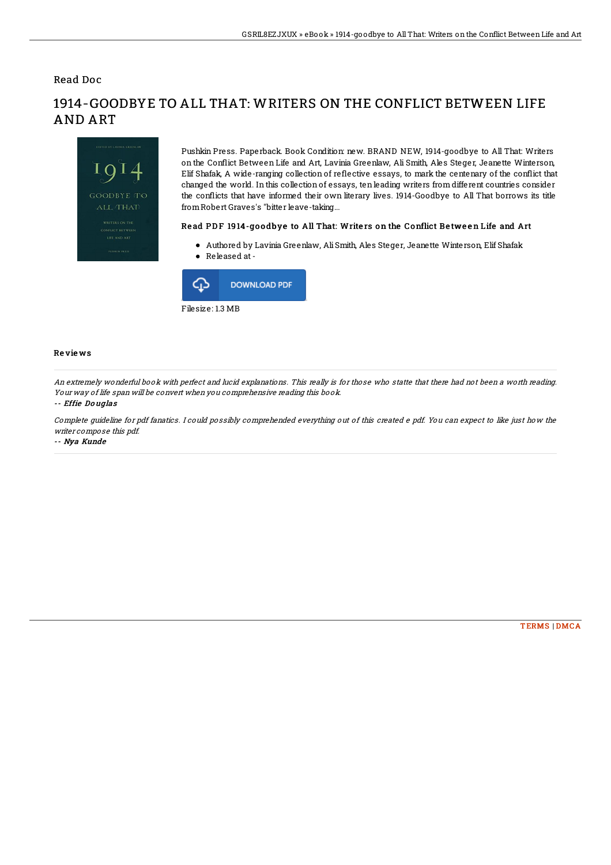Read Doc



# 1914-GOODBYE TO ALL THAT: WRITERS ON THE CONFLICT BETWEEN LIFE AND ART

Pushkin Press. Paperback. Book Condition: new. BRAND NEW, 1914-goodbye to All That: Writers on the Con1ict Between Life and Art, Lavinia Greenlaw, Ali Smith, Ales Steger, Jeanette Winterson, Elif Shafak, A wide-ranging collection of re1ective essays, to mark the centenary of the con1ict that changed the world. In this collection of essays, ten leading writers from different countries consider the conflicts that have informed their own literary lives. 1914-Goodbye to All That borrows its title fromRobert Graves's "bitter leave-taking...

#### Read PDF 1914-qoodbye to All That: Writers on the Conflict Between Life and Art

- Authored by Lavinia Greenlaw, AliSmith, Ales Steger, Jeanette Winterson, Elif Shafak
- Released at-



### Re vie ws

An extremely wonderful book with perfect and lucid explanations. This really is for those who statte that there had not been <sup>a</sup> worth reading. Your way of life span will be convert when you comprehensive reading this book.

#### -- Effie Do uglas

Complete guideline for pdf fanatics. I could possibly comprehended everything out of this created <sup>e</sup> pdf. You can expect to like just how the writer compose this pdf.

-- Nya Kunde